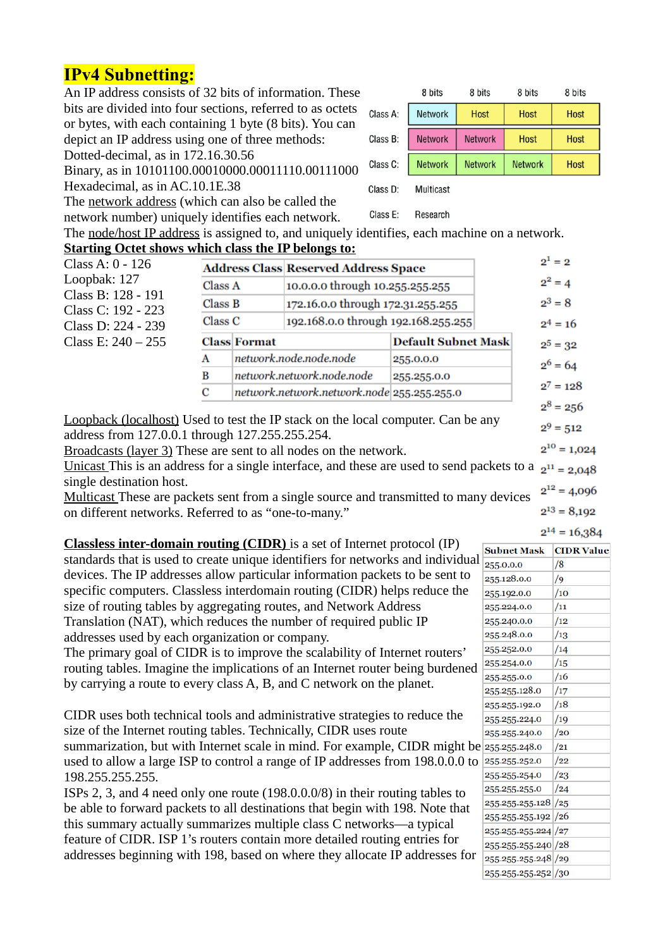# **IPv4 Subnetting:**

An IP address consists of 32 bits of information. These bits are divided into four sections, referred to as octets  $\sigma$ or bytes, with each containing 1 byte (8 bits). You can depict an IP address using one of three methods: Dotted-decimal, as in 172.16.30.56

Binary, as in 10101100.00010000.00011110.00111000 Hexadecimal, as in AC.10.1E.38

The network address (which can also be called the

network number) uniquely identifies each network.

|          | 8 bits         | 8 bits         | 8 bits         | 8 bits      |
|----------|----------------|----------------|----------------|-------------|
| Class A: | Network        | <b>Host</b>    | <b>Host</b>    | <b>Host</b> |
| Class B: | <b>Network</b> | <b>Network</b> | <b>Host</b>    | <b>Host</b> |
| Class C: | Network        | <b>Network</b> | <b>Network</b> | Host        |
| Class D: | Multicast      |                |                |             |

The node/host IP address is assigned to, and uniquely identifies, each machine on a network. **Starting Octet shows which class the IP belongs to:**

Class E:

Research

| Class A: 0 - 126                                                                                                                           |         |                     | <b>Address Class Reserved Address Space</b> |                            | $2^1 = 2$        |  |
|--------------------------------------------------------------------------------------------------------------------------------------------|---------|---------------------|---------------------------------------------|----------------------------|------------------|--|
| Loopbak: 127                                                                                                                               | Class A |                     | 10.0.0.0 through 10.255.255.255             |                            | $2^2 = 4$        |  |
| Class B: 128 - 191<br>Class C: 192 - 223                                                                                                   | Class B |                     | 172.16.0.0 through 172.31.255.255           |                            | $2^3 = 8$        |  |
| Class D: 224 - 239                                                                                                                         | Class C |                     | 192.168.0.0 through 192.168.255.255         | $2^4 = 16$                 |                  |  |
| Class E: $240 - 255$                                                                                                                       |         | <b>Class Format</b> |                                             | <b>Default Subnet Mask</b> | $2^5 = 32$       |  |
|                                                                                                                                            | Α       |                     | network.node.node.node                      | 255.0.0.0                  | $2^6 = 64$       |  |
|                                                                                                                                            | в       |                     | network.network.node.node                   | 255.255.0.0                |                  |  |
|                                                                                                                                            | С       |                     | network.network.network.node 255.255.255.0  |                            | $2^7 = 128$      |  |
|                                                                                                                                            |         |                     |                                             |                            | $2^8$ = 256      |  |
| <b>Loopback (localhost)</b> Used to test the IP stack on the local computer. Can be any<br>address from 127.0.0.1 through 127.255.255.254. |         |                     |                                             |                            | $2^9 = 512$      |  |
| <b>Broadcasts (layer 3)</b> These are sent to all nodes on the network.                                                                    |         |                     |                                             |                            | $2^{10} = 1,024$ |  |

<u>Unicast This is an</u> address for a single interface, and these are used to send packets to a  $2^{11} = 2,048$ single destination host.  $2^{12} = 4,096$ 

Multicast These are packets sent from a single source and transmitted to many devices on different networks. Referred to as "one-to-many."

 **Classless inter-domain routing (CIDR)** is a set of Internet protocol (IP) standards that is used to create unique identifiers for networks and individual devices. The IP addresses allow particular information packets to be sent to specific computers. Classless interdomain routing (CIDR) helps reduce the size of routing tables by aggregating routes, and Network Address Translation (NAT), which reduces the number of required public IP addresses used by each organization or company.

The primary goal of CIDR is to improve the scalability of Internet routers' routing tables. Imagine the implications of an Internet router being burdened by carrying a route to every class A, B, and C network on the planet.

CIDR uses both technical tools and administrative strategies to reduce the size of the Internet routing tables. Technically, CIDR uses route summarization, but with Internet scale in mind. For example, CIDR might be used to allow a large ISP to control a range of IP addresses from 198.0.0.0 to 198.255.255.255.

ISPs 2, 3, and 4 need only one route (198.0.0.0/8) in their routing tables to be able to forward packets to all destinations that begin with 198. Note that this summary actually summarizes multiple class C networks—a typical feature of CIDR. ISP 1's routers contain more detailed routing entries for addresses beginning with 198, based on where they allocate IP addresses for

|   | <b>Subnet Mask</b>   | <b>CIDR Value</b> |
|---|----------------------|-------------------|
| l | 255.0.0.0            | /8                |
|   | 255.128.0.0          | /9                |
|   | 255.192.0.0          | /10               |
|   | 255.224.0.0          | /11               |
|   | 255.240.0.0          | /12               |
|   | 255.248.0.0          | /13               |
|   | 255.252.0.0          | /14               |
|   | 255.254.0.0          | /15               |
|   | 255.255.0.0          | /16               |
|   | 255.255.128.0        | /17               |
|   | 255.255.192.0        | /18               |
|   | 255.255.224.0        | /19               |
|   | 255.255.240.0        | /20               |
| e | 255.255.248.0        | /21               |
| J | 255.255.252.0        | /22               |
|   | 255.255.254.0        | /23               |
|   | 255.255.255.0        | /24               |
|   | 255.255.255.128 /25  |                   |
|   | 255.255.255.192 /26  |                   |
|   | 255.255.255.224 / 27 |                   |
|   | 255.255.255.240 / 28 |                   |
|   | 255.255.255.248 / 29 |                   |
|   | 255.255.255.252 /30  |                   |

 $2^{13} = 8,192$  $2^{14} = 16,384$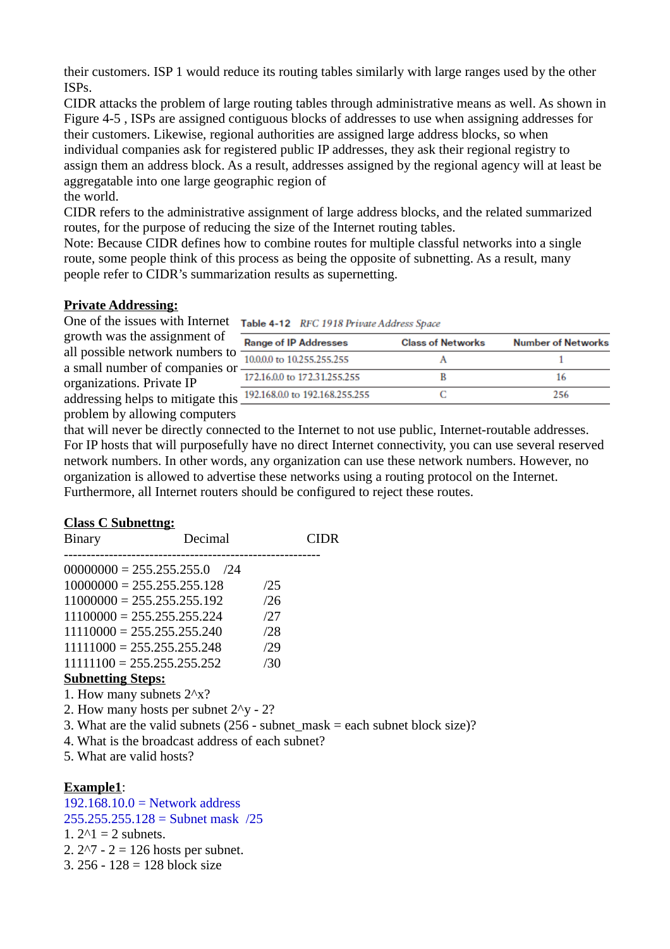their customers. ISP 1 would reduce its routing tables similarly with large ranges used by the other ISPs.

CIDR attacks the problem of large routing tables through administrative means as well. As shown in Figure 4-5 , ISPs are assigned contiguous blocks of addresses to use when assigning addresses for their customers. Likewise, regional authorities are assigned large address blocks, so when individual companies ask for registered public IP addresses, they ask their regional registry to assign them an address block. As a result, addresses assigned by the regional agency will at least be aggregatable into one large geographic region of the world.

CIDR refers to the administrative assignment of large address blocks, and the related summarized routes, for the purpose of reducing the size of the Internet routing tables.

Note: Because CIDR defines how to combine routes for multiple classful networks into a single route, some people think of this process as being the opposite of subnetting. As a result, many people refer to CIDR's summarization results as supernetting.

## **Private Addressing:**

One of the issues with Internet Table 4-12 RFC 1918 Private Address Space

growth was the assignment of all possible network numbers to a small number of companies or organizations. Private IP addressing helps to mitigate this problem by allowing computers

| <b>Range of IP Addresses</b>     | <b>Class of Networks</b> | <b>Number of Networks</b> |
|----------------------------------|--------------------------|---------------------------|
| 10,0,0,0 to 10,255,255,255       |                          |                           |
| 172.16.0.0 to 172.31.255.255     |                          |                           |
| S 192.168.0.0 to 192.168.255.255 |                          | つべん                       |
|                                  |                          |                           |

that will never be directly connected to the Internet to not use public, Internet-routable addresses. For IP hosts that will purposefully have no direct Internet connectivity, you can use several reserved network numbers. In other words, any organization can use these network numbers. However, no organization is allowed to advertise these networks using a routing protocol on the Internet. Furthermore, all Internet routers should be configured to reject these routes.

## **Class C Subnettng:**

| <b>Binary</b>                       | Decimal                                          |     | CIDR                                                                                          |
|-------------------------------------|--------------------------------------------------|-----|-----------------------------------------------------------------------------------------------|
|                                     | $00000000 = 255.255.255.0$ /24                   |     |                                                                                               |
|                                     | $10000000 = 255.255.255.128$                     | /25 |                                                                                               |
|                                     | $11000000 = 255.255.255.192$                     | /26 |                                                                                               |
|                                     | $11100000 = 255.255.255.224$                     | 127 |                                                                                               |
|                                     | $11110000 = 255.255.255.240$                     | /28 |                                                                                               |
|                                     | $11111000 = 255.255.255.248$                     | /29 |                                                                                               |
|                                     | $11111100 = 255.255.255.252$                     | /30 |                                                                                               |
| <b>Subnetting Steps:</b>            |                                                  |     |                                                                                               |
| 1. How many subnets $2^{\wedge}x$ ? |                                                  |     |                                                                                               |
|                                     | 2. How many hosts per subnet $2\gamma$ - 2?      |     |                                                                                               |
|                                     |                                                  |     | 3. What are the valid subnets $(256 - \text{subnet\_mask} = \text{each subnet block size})$ ? |
|                                     | 4. What is the broadcast address of each subnet? |     |                                                                                               |
| 5. What are valid hosts?            |                                                  |     |                                                                                               |
|                                     |                                                  |     |                                                                                               |
| Example1:                           |                                                  |     |                                                                                               |
|                                     | $192.168.10.0$ = Network address                 |     |                                                                                               |
|                                     | $255.255.255.128 =$ Subnet mask /25              |     |                                                                                               |

1.  $2^{\wedge}1 = 2$  subnets.

2.  $2^{2}$  - 2 = 126 hosts per subnet.

3. 256 - 128 = 128 block size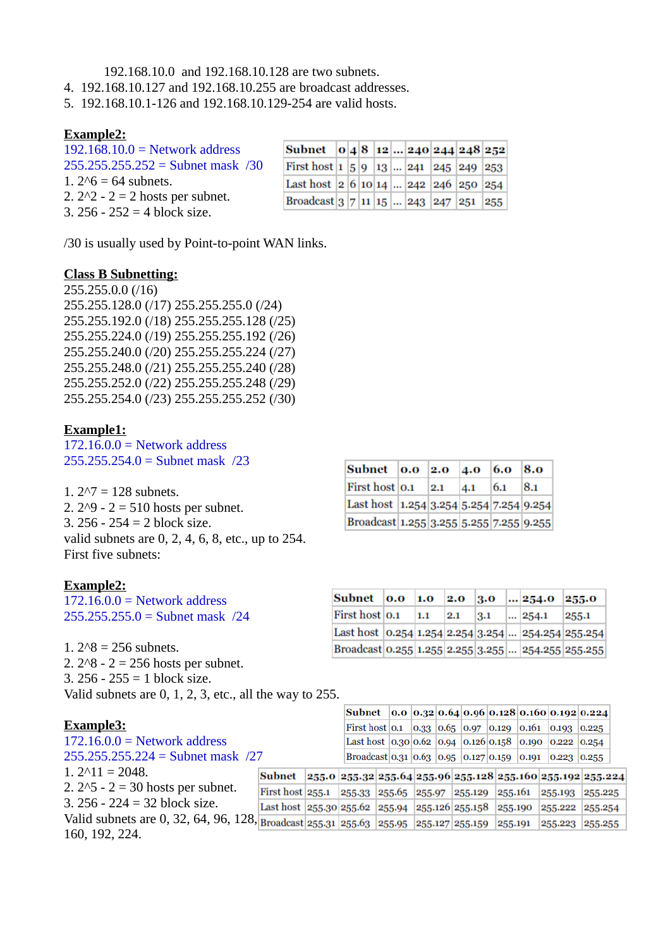192.168.10.0 and 192.168.10.128 are two subnets.

- 4. 192.168.10.127 and 192.168.10.255 are broadcast addresses.
- 5. 192.168.10.1-126 and 192.168.10.129-254 are valid hosts.

#### **Example2:**

| $192.168.10.0$ = Network address    |  |
|-------------------------------------|--|
| $255.255.255.252 =$ Subnet mask /30 |  |
| 1. $2^{6} = 64$ subnets.            |  |
| 2. $2^2 - 2 = 2$ hosts per subnet.  |  |
| 3. $256 - 252 = 4$ block size.      |  |

| Subnet $ 0 4 8 12  240 244 248 252 $                                                         |  |  |  |  |  |
|----------------------------------------------------------------------------------------------|--|--|--|--|--|
| First host $\vert 1 \vert 5 \vert 9 \vert 13 \vert  \vert 241 \vert 245 \vert 249 \vert 253$ |  |  |  |  |  |
| Last host $ 2 6 10 14  242 246 250 254$                                                      |  |  |  |  |  |
| Broadcast $ 3 7 11 15  243 247 251 255 $                                                     |  |  |  |  |  |

/30 is usually used by Point-to-point WAN links.

#### **Class B Subnetting:**

255.255.0.0 (/16) 255.255.128.0 (/17) 255.255.255.0 (/24) 255.255.192.0 (/18) 255.255.255.128 (/25) 255.255.224.0 (/19) 255.255.255.192 (/26) 255.255.240.0 (/20) 255.255.255.224 (/27) 255.255.248.0 (/21) 255.255.255.240 (/28) 255.255.252.0 (/22) 255.255.255.248 (/29) 255.255.254.0 (/23) 255.255.255.252 (/30)

#### **Example1:**

 $172.16.0.0 =$  Network address 255.255.254.0 = Subnet mask /23

1. 2^7 = 128 subnets. 2.  $2^{0} - 2 = 510$  hosts per subnet. 3. 256 - 254 = 2 block size. valid subnets are 0, 2, 4, 6, 8, etc., up to 254. First five subnets:

#### **Example2:**

 $172.16.0.0 =$  Network address 255.255.255.0 = Subnet mask /24

1.  $2^{8} = 256$  subnets. 2.  $2^8 - 2 = 256$  hosts per subnet. 3. 256 - 255 = 1 block size. Valid subnets are 0, 1, 2, 3, etc., all the way to 255.

# **Example3:**

| Example3:                                                                                                    |                                                                        |  |  |  |  | First host 0.1   0.33   0.65   0.97   0.129   0.161   0.193   0.225 |  |
|--------------------------------------------------------------------------------------------------------------|------------------------------------------------------------------------|--|--|--|--|---------------------------------------------------------------------|--|
|                                                                                                              |                                                                        |  |  |  |  |                                                                     |  |
| $172.16.0.0 =$ Network address                                                                               |                                                                        |  |  |  |  | Last host $ 0.30 0.62 0.94 0.126 0.158 0.190 0.222 0.254$           |  |
| $255.255.255.224 =$ Subnet mask /27                                                                          |                                                                        |  |  |  |  | Broadcast 0.31 0.63 0.95 0.127 0.159 0.191 0.223 0.255              |  |
| $1.2 \land 11 = 2048.$                                                                                       | Subnet 255.0 255.32 255.64 255.96 255.128 255.160 255.192 255.224      |  |  |  |  |                                                                     |  |
| 2. $2^{5}$ - 2 = 30 hosts per subnet.                                                                        | First host 255.1 255.33 255.65 255.97 255.129 255.161 255.193 255.225  |  |  |  |  |                                                                     |  |
| 3. $256 - 224 = 32$ block size.                                                                              | Last host 255.30 255.62 255.94 255.126 255.158 255.190 255.222 255.254 |  |  |  |  |                                                                     |  |
| Valid subnets are 0, 32, 64, 96, 128, Broadcast 255.31 255.63 255.95 255.127 255.159 255.191 255.223 255.255 |                                                                        |  |  |  |  |                                                                     |  |
| 160, 192, 224.                                                                                               |                                                                        |  |  |  |  |                                                                     |  |

| <b>Subnet</b> 0.0 2.0                             |     | 4.0 | 6.0 | $\bf{8.0}$ |
|---------------------------------------------------|-----|-----|-----|------------|
| First host 0.1                                    | 2.1 | 4.1 | 6.1 | 8.1        |
| Last host   1.254   3.254   5.254   7.254   9.254 |     |     |     |            |
| Broadcast 1.255 3.255 5.255 7.255 9.255           |     |     |     |            |

| Subnet 0.0 1.0 2.0 3.0  254.0                      |     |     |     |       | 255.0 |
|----------------------------------------------------|-----|-----|-----|-------|-------|
| First host 0.1                                     | 1.1 | 2.1 | 3.1 | 254.1 | 255.1 |
| Last host 0.254 1.254 2.254 3.254  254.254 255.254 |     |     |     |       |       |
| Broadcast 0.255 1.255 2.255 3.255  254.255 255.255 |     |     |     |       |       |

Subnet 0.0 0.32 0.64 0.96 0.128 0.160 0.192 0.224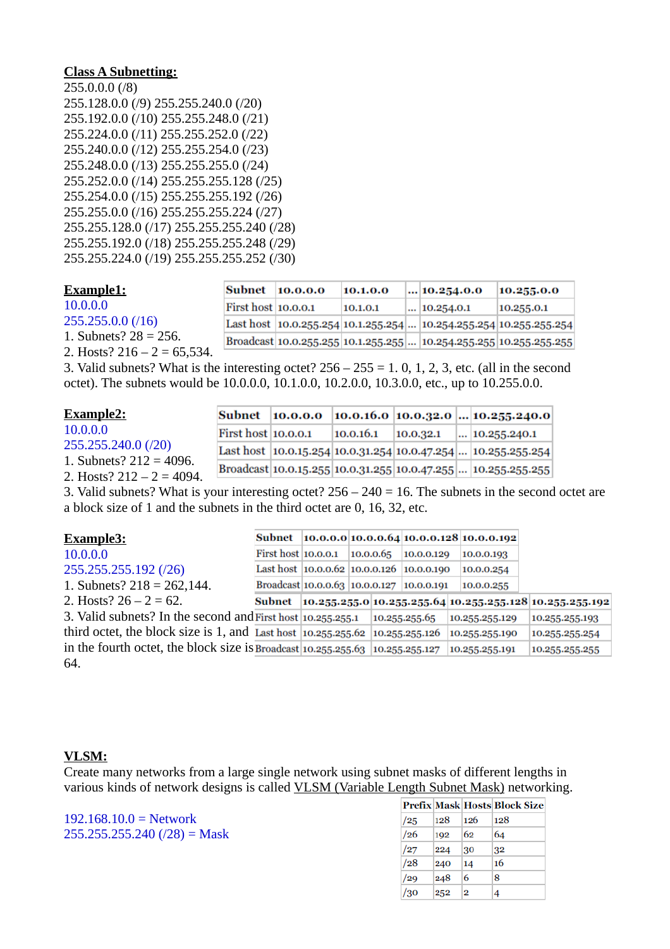### **Class A Subnetting:**

255.0.0.0 (/8) 255.128.0.0 (/9) 255.255.240.0 (/20) 255.192.0.0 (/10) 255.255.248.0 (/21) 255.224.0.0 (/11) 255.255.252.0 (/22) 255.240.0.0 (/12) 255.255.254.0 (/23) 255.248.0.0 (/13) 255.255.255.0 (/24) 255.252.0.0 (/14) 255.255.255.128 (/25) 255.254.0.0 (/15) 255.255.255.192 (/26) 255.255.0.0 (/16) 255.255.255.224 (/27) 255.255.128.0 (/17) 255.255.255.240 (/28) 255.255.192.0 (/18) 255.255.255.248 (/29) 255.255.224.0 (/19) 255.255.255.252 (/30)

| Example1:                      | Subnet                     | 10.0.0.0 | 10.1.0.0 | $\dots$ 10.254.0.0                                                     | 10.255.0.0 |
|--------------------------------|----------------------------|----------|----------|------------------------------------------------------------------------|------------|
| 10.0.0.0                       | <b>First host 10.0.0.1</b> |          | 10.1.0.1 | $\ldots$ 10.254.0.1                                                    | 10.255.01  |
| $255.255.0.0$ (/16)            |                            |          |          | Last host  10.0.255.254  10.1.255.254   10.254.255.254  10.255.255.254 |            |
| 1. Subnets? $28 = 256$ .       |                            |          |          | Broadcast 10.0.255.255 10.1.255.255  10.254.255.255 10.255.255.255     |            |
| 2. Hosts? $216 - 2 = 65,534$ . |                            |          |          |                                                                        |            |

3. Valid subnets? What is the interesting octet?  $256 - 255 = 1$ , 0, 1, 2, 3, etc. (all in the second octet). The subnets would be 10.0.0.0, 10.1.0.0, 10.2.0.0, 10.3.0.0, etc., up to 10.255.0.0.

| <b>Example2:</b>                                           | Subnet              |           |           |                                                                       |
|------------------------------------------------------------|---------------------|-----------|-----------|-----------------------------------------------------------------------|
| 10.0.0.0                                                   | First host 10.0.0.1 | 10.0.16.1 | 10.0.32.1 | $\ldots$ 10.255.240.1                                                 |
| 255.255.240.0 (/20)                                        |                     |           |           | Last host   10.0.15.254   10.0.31.254   10.0.47.254    10.255.255.254 |
| 1. Subnets? $212 = 4096$ .<br>2. Hosts? $212 - 2 = 4094$ . |                     |           |           | Broadcast 10.0.15.255 10.0.31.255 10.0.47.255  10.255.255.255         |
|                                                            |                     |           |           |                                                                       |

3. Valid subnets? What is your interesting octet? 256 – 240 = 16. The subnets in the second octet are a block size of 1 and the subnets in the third octet are 0, 16, 32, etc.

| <u>Example3:</u>                                                                  | Subnet                  |                                           |           |               | 10.0.0.0 10.0.0.64 10.0.0.128 10.0.0.192 |                                                                  |
|-----------------------------------------------------------------------------------|-------------------------|-------------------------------------------|-----------|---------------|------------------------------------------|------------------------------------------------------------------|
| 10.0.0.0                                                                          | First host $ 10.0.0.1 $ |                                           | 10.0.0.65 | 10.0.0.129    | 10.0.0.193                               |                                                                  |
| 255.255.255.192 (/26)                                                             |                         | Last host 10.0.0.62 10.0.0.126 10.0.0.190 |           |               | 10.0.0.254                               |                                                                  |
| 1. Subnets? $218 = 262,144$ .                                                     |                         | Broadcast 10.0.0.63 10.0.0.127 10.0.0.191 |           |               | 10.0.0.255                               |                                                                  |
| 2. Hosts? $26 - 2 = 62$ .                                                         |                         |                                           |           |               |                                          | Subnet  10.255.255.0 10.255.255.64 10.255.255.128 10.255.255.192 |
| 3. Valid subnets? In the second and First host $\vert$ 10.255.255.1               |                         |                                           |           | 10.255.255.65 | 10.255.255.129                           | 10.255.255.193                                                   |
| third octet, the block size is 1, and Last host $ 10.255.255.62 10.255.255.126 $  |                         |                                           |           |               | 10.255.255.190                           | 10.255.255.254                                                   |
| in the fourth octet, the block size is Broadcast $ 10.255.255.63 10.255.255.127 $ |                         |                                           |           |               | 10.255.255.191                           | 10.255.255.255                                                   |
| 64.                                                                               |                         |                                           |           |               |                                          |                                                                  |

#### **VLSM:**

Create many networks from a large single network using subnet masks of different lengths in various kinds of network designs is called VLSM (Variable Length Subnet Mask) networking.

 $192.168.10.0 =$  Network  $255.255.255.240$  (/28) = Mask

|     |     |     | Prefix Mask Hosts Block Size |
|-----|-----|-----|------------------------------|
| /25 | 128 | 126 | 128                          |
| /26 | 192 | 62  | 64                           |
| /27 | 224 | 30  | 32                           |
| /28 | 240 | 14  | 16                           |
| /29 | 248 | 6   | 8                            |
| /30 | 252 | 2   | 4                            |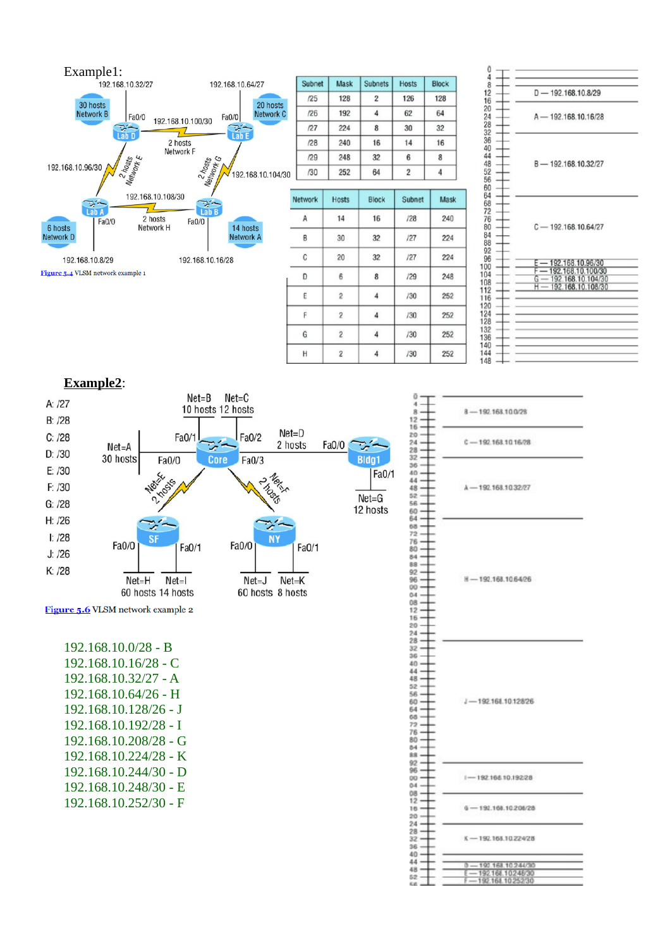